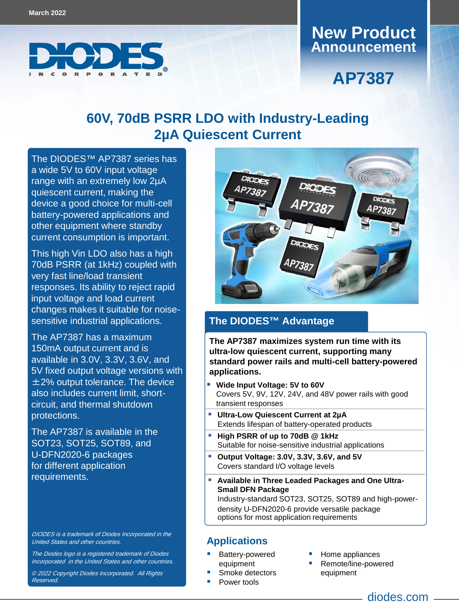

## **Announcement New Product**

# **AP7387**

## **60V, 70dB PSRR LDO with Industry-Leading 2µA Quiescent Current**

a wide 5V to 60V input voltage range with an extremely low 2µA quiescent current, making the device a good choice for multi-cell battery-powered applications and other equipment where standby current consumption is important. The DIODES™ [AP7387](https://www.diodes.com/part/view/AP7387) series has

This high Vin LDO also has a high 70dB PSRR (at 1kHz) coupled with very fast line/load transient responses. Its ability to reject rapid input voltage and load current changes makes it suitable for noisesensitive industrial applications.

The AP7387 has a maximum 150mA output current and is available in 3.0V, 3.3V, 3.6V, and 5V fixed output voltage versions with ±2% output tolerance. The device also includes current limit, shortcircuit, and thermal shutdown protections.

The AP7387 is available in the SOT23, SOT25, SOT89, and for different application requirements. U-DFN2020-6 packages

DIODES is a trademark of Diodes Incorporated in the United States and other countries.

The Diodes logo is a registered trademark of Diodes Incorporated in the United States and other countries.

© 2022 Copyright Diodes Incorporated. All Rights Reserved.



#### **The DIODES™ Advantage**

**The AP7387 maximizes system run time with its ultra-low quiescent current, supporting many standard power rails and multi-cell battery-powered applications.**

- **Wide Input Voltage: 5V to 60V** Covers 5V, 9V, 12V, 24V, and 48V power rails with good transient responses
- **Ultra-Low Quiescent Current at 2µA** Extends lifespan of battery-operated products
- **High PSRR of up to 70dB @ 1kHz** Suitable for noise-sensitive industrial applications
- **Output Voltage: 3.0V, 3.3V, 3.6V, and 5V**  Covers standard I/O voltage levels
- **Available in Three Leaded Packages and One Ultra-Small DFN Package** Industry-standard SOT23, SOT25, SOT89 and high-poweroptions for most application requirements density U-DFN2020-6 provide versatile package

#### **Applications**

- Battery-powered equipment
- Smoke detectors
- Power tools
- Home appliances
- Remote/line-powered equipment